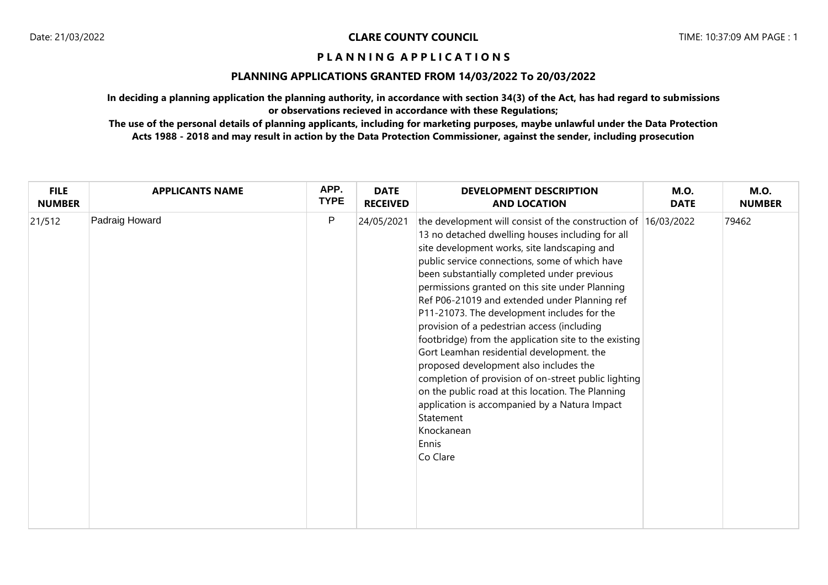## **PLANNING APPLICATIONS GRANTED FROM 14/03/2022 To 20/03/2022**

**In deciding a planning application the planning authority, in accordance with section 34(3) of the Act, has had regard to submissions or observations recieved in accordance with these Regulations;**

**The use of the personal details of planning applicants, including for marketing purposes, maybe unlawful under the Data Protection Acts 1988 - 2018 and may result in action by the Data Protection Commissioner, against the sender, including prosecution**

| <b>FILE</b>   | <b>APPLICANTS NAME</b> | APP.        | <b>DATE</b>     | <b>DEVELOPMENT DESCRIPTION</b>                                                                                                                                                                                                                                                                                                                                                                                                                                                                                                                                                                                                                                                                                                                                                                                                      | <b>M.O.</b> | <b>M.O.</b>   |
|---------------|------------------------|-------------|-----------------|-------------------------------------------------------------------------------------------------------------------------------------------------------------------------------------------------------------------------------------------------------------------------------------------------------------------------------------------------------------------------------------------------------------------------------------------------------------------------------------------------------------------------------------------------------------------------------------------------------------------------------------------------------------------------------------------------------------------------------------------------------------------------------------------------------------------------------------|-------------|---------------|
| <b>NUMBER</b> |                        | <b>TYPE</b> | <b>RECEIVED</b> | <b>AND LOCATION</b>                                                                                                                                                                                                                                                                                                                                                                                                                                                                                                                                                                                                                                                                                                                                                                                                                 | <b>DATE</b> | <b>NUMBER</b> |
| 21/512        | Padraig Howard         | P           | 24/05/2021      | the development will consist of the construction of 16/03/2022<br>13 no detached dwelling houses including for all<br>site development works, site landscaping and<br>public service connections, some of which have<br>been substantially completed under previous<br>permissions granted on this site under Planning<br>Ref P06-21019 and extended under Planning ref<br>P11-21073. The development includes for the<br>provision of a pedestrian access (including<br>footbridge) from the application site to the existing<br>Gort Leamhan residential development. the<br>proposed development also includes the<br>completion of provision of on-street public lighting<br>on the public road at this location. The Planning<br>application is accompanied by a Natura Impact<br>Statement<br>Knockanean<br>Ennis<br>Co Clare |             | 79462         |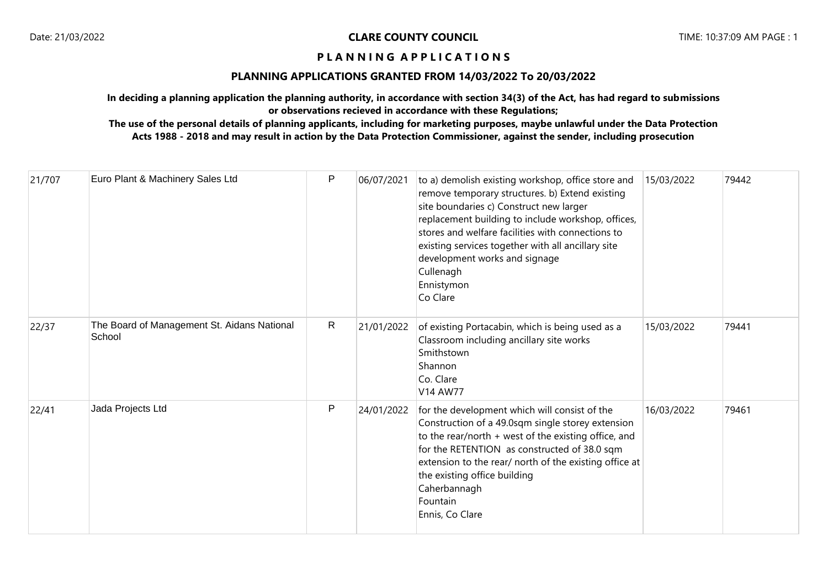## **PLANNING APPLICATIONS GRANTED FROM 14/03/2022 To 20/03/2022**

**In deciding a planning application the planning authority, in accordance with section 34(3) of the Act, has had regard to submissions or observations recieved in accordance with these Regulations;**

**The use of the personal details of planning applicants, including for marketing purposes, maybe unlawful under the Data Protection Acts 1988 - 2018 and may result in action by the Data Protection Commissioner, against the sender, including prosecution**

| 21/707 | Euro Plant & Machinery Sales Ltd                      | P            | 06/07/2021 | to a) demolish existing workshop, office store and<br>remove temporary structures. b) Extend existing<br>site boundaries c) Construct new larger<br>replacement building to include workshop, offices,<br>stores and welfare facilities with connections to<br>existing services together with all ancillary site<br>development works and signage<br>Cullenagh<br>Ennistymon<br>Co Clare | 15/03/2022 | 79442 |
|--------|-------------------------------------------------------|--------------|------------|-------------------------------------------------------------------------------------------------------------------------------------------------------------------------------------------------------------------------------------------------------------------------------------------------------------------------------------------------------------------------------------------|------------|-------|
| 22/37  | The Board of Management St. Aidans National<br>School | $\mathsf{R}$ | 21/01/2022 | of existing Portacabin, which is being used as a<br>Classroom including ancillary site works<br>Smithstown<br>Shannon<br>Co. Clare<br>V14 AW77                                                                                                                                                                                                                                            | 15/03/2022 | 79441 |
| 22/41  | Jada Projects Ltd                                     | P            | 24/01/2022 | for the development which will consist of the<br>Construction of a 49.0sqm single storey extension<br>to the rear/north + west of the existing office, and<br>for the RETENTION as constructed of 38.0 sqm<br>extension to the rear/ north of the existing office at<br>the existing office building<br>Caherbannagh<br>Fountain<br>Ennis, Co Clare                                       | 16/03/2022 | 79461 |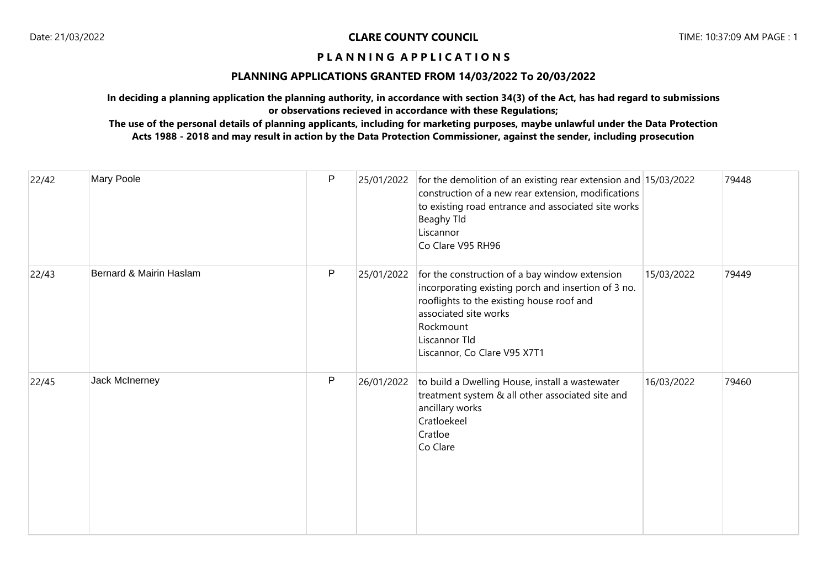## **PLANNING APPLICATIONS GRANTED FROM 14/03/2022 To 20/03/2022**

**In deciding a planning application the planning authority, in accordance with section 34(3) of the Act, has had regard to submissions or observations recieved in accordance with these Regulations;**

# **The use of the personal details of planning applicants, including for marketing purposes, maybe unlawful under the Data Protection Acts 1988 - 2018 and may result in action by the Data Protection Commissioner, against the sender, including prosecution**

| 22/42 | Mary Poole              | P            | 25/01/2022 | for the demolition of an existing rear extension and $15/03/2022$<br>construction of a new rear extension, modifications<br>to existing road entrance and associated site works<br>Beaghy Tld<br>Liscannor<br>Co Clare V95 RH96           |            | 79448 |
|-------|-------------------------|--------------|------------|-------------------------------------------------------------------------------------------------------------------------------------------------------------------------------------------------------------------------------------------|------------|-------|
| 22/43 | Bernard & Mairin Haslam | $\mathsf{P}$ | 25/01/2022 | for the construction of a bay window extension<br>incorporating existing porch and insertion of 3 no.<br>rooflights to the existing house roof and<br>associated site works<br>Rockmount<br>Liscannor Tld<br>Liscannor, Co Clare V95 X7T1 | 15/03/2022 | 79449 |
| 22/45 | Jack McInerney          | ${\sf P}$    | 26/01/2022 | to build a Dwelling House, install a wastewater<br>treatment system & all other associated site and<br>ancillary works<br>Cratloekeel<br>Cratloe<br>Co Clare                                                                              | 16/03/2022 | 79460 |